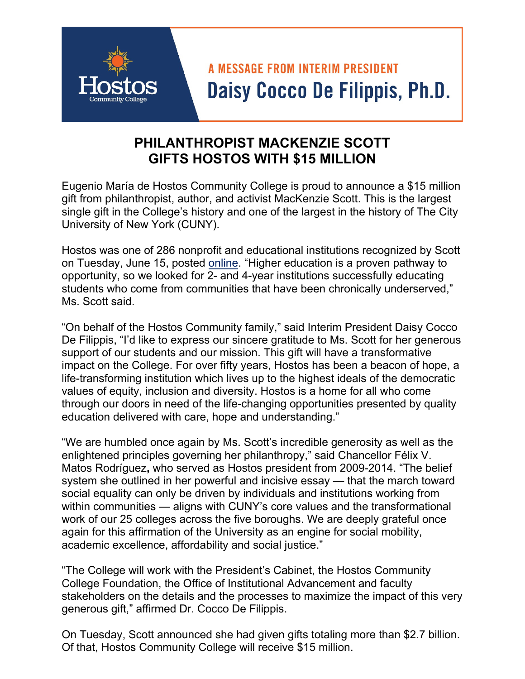## **A MESSAGE FROM INTERIM PRESIDENT** Daisy Cocco De Filippis, Ph.D.

## **PHILANTHROPIST MACKENZIE SCOTT GIFTS HOSTOS WITH \$15 MILLION**

Eugenio María de Hostos Community College is proud to announce a \$15 million gift from philanthropist, author, and activist MacKenzie Scott. This is the largest single gift in the College's history and one of the largest in the history of The City University of New York (CUNY).

Hostos was one of 286 nonprofit and educational institutions recognized by Scott on Tuesday, June 15, posted [online.](https://mackenzie-scott.medium.com/seeding-by-ceding-ea6de642bf) "Higher education is a proven pathway to opportunity, so we looked for 2- and 4-year institutions successfully educating students who come from communities that have been chronically underserved," Ms. Scott said.

"On behalf of the Hostos Community family," said Interim President Daisy Cocco De Filippis, "I'd like to express our sincere gratitude to Ms. Scott for her generous support of our students and our mission. This gift will have a transformative impact on the College. For over fifty years, Hostos has been a beacon of hope, a life-transforming institution which lives up to the highest ideals of the democratic values of equity, inclusion and diversity. Hostos is a home for all who come through our doors in need of the life-changing opportunities presented by quality education delivered with care, hope and understanding."

"We are humbled once again by Ms. Scott's incredible generosity as well as the enlightened principles governing her philanthropy," said Chancellor Félix V. Matos Rodríguez**,** who served as Hostos president from 2009-2014. "The belief system she outlined in her powerful and incisive essay — that the march toward social equality can only be driven by individuals and institutions working from within communities — aligns with CUNY's core values and the transformational work of our 25 colleges across the five boroughs. We are deeply grateful once again for this affirmation of the University as an engine for social mobility, academic excellence, affordability and social justice."

"The College will work with the President's Cabinet, the Hostos Community College Foundation, the Office of Institutional Advancement and faculty stakeholders on the details and the processes to maximize the impact of this very generous gift," affirmed Dr. Cocco De Filippis.

On Tuesday, Scott announced she had given gifts totaling more than \$2.7 billion. Of that, Hostos Community College will receive \$15 million.